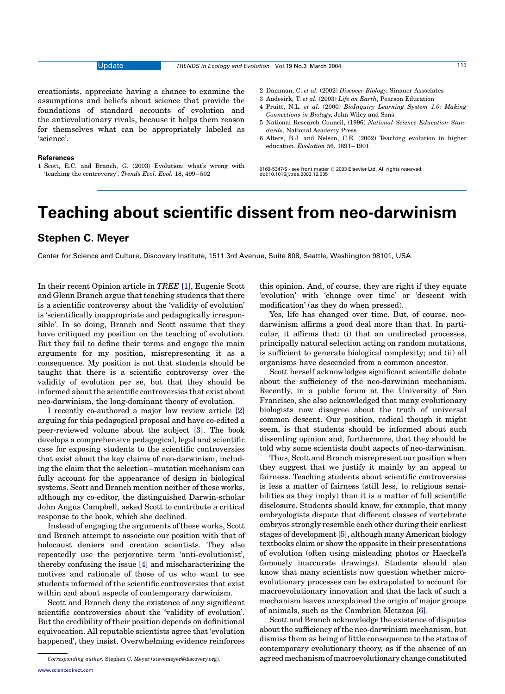creationists, appreciate having a chance to examine the assumptions and beliefs about science that provide the foundations of standard accounts of evolution and the antievolutionary rivals, because it helps them reason for themselves what can be appropriately labeled as 'science'.

1 Scott, E.C. and Branch, G. (2003) Evolution: what's wrong with 'teaching the controversy'. Trends Ecol. Evol. 18, 499–502

### 2 Damman, C. et al. (2002) Discover Biology, Sinauer Associates

- 3 Audesirk, T. et al. (2003) Life on Earth, Pearson Education
- 4 Pruitt, N.L. et al. (2000) BioInquiry Learning System 1.0: Making Connections in Biology, John Wiley and Sons
- 5 National Research Council, (1996) National Science Education Standards, National Academy Press
- 6 Alters, B.J. and Nelson, C.E. (2002) Teaching evolution in higher education. Evolution 56, 1891–1901

0169-5347/\$ - see front matter q 2003 Elsevier Ltd. All rights reserved. doi:10.1016/j.tree.2003.12.005

# Teaching about scientific dissent from neo-darwinism

### Stephen C. Meyer

**References** 

Center for Science and Culture, Discovery Institute, 1511 3rd Avenue, Suite 808, Seattle, Washington 98101, USA

In their recent Opinion article in TREE [\[1\]](#page-1-0), Eugenie Scott and Glenn Branch argue that teaching students that there is a scientific controversy about the 'validity of evolution' is 'scientifically inappropriate and pedagogically irresponsible'. In so doing, Branch and Scott assume that they have critiqued my position on the teaching of evolution. But they fail to define their terms and engage the main arguments for my position, misrepresenting it as a consequence. My position is not that students should be taught that there is a scientific controversy over the validity of evolution per se, but that they should be informed about the scientific controversies that exist about neo-darwinism, the long-dominant theory of evolution.

I recently co-authored a major law review article [\[2\]](#page-1-0) arguing for this pedagogical proposal and have co-edited a peer-reviewed volume about the subject [\[3\].](#page-1-0) The book develops a comprehensive pedagogical, legal and scientific case for exposing students to the scientific controversies that exist about the key claims of neo-darwinism, including the claim that the selection–mutation mechanism can fully account for the appearance of design in biological systems. Scott and Branch mention neither of these works, although my co-editor, the distinguished Darwin-scholar John Angus Campbell, asked Scott to contribute a critical response to the book, which she declined.

Instead of engaging the arguments of these works, Scott and Branch attempt to associate our position with that of holocaust deniers and creation scientists. They also repeatedly use the perjorative term 'anti-evolutionist', thereby confusing the issue [\[4\]](#page-1-0) and mischaracterizing the motives and rationale of those of us who want to see students informed of the scientific controversies that exist within and about aspects of contemporary darwinism.

Scott and Branch deny the existence of any significant scientific controversies about the 'validity of evolution'. But the credibility of their position depends on definitional equivocation. All reputable scientists agree that 'evolution happened', they insist. Overwhelming evidence reinforces this opinion. And, of course, they are right if they equate 'evolution' with 'change over time' or 'descent with modification' (as they do when pressed).

Yes, life has changed over time. But, of course, neodarwinism affirms a good deal more than that. In particular, it affirms that: (i) that an undirected processes, principally natural selection acting on random mutations, is sufficient to generate biological complexity; and (ii) all organisms have descended from a common ancestor.

Scott herself acknowledges significant scientific debate about the sufficiency of the neo-darwinian mechanism. Recently, in a public forum at the University of San Francisco, she also acknowledged that many evolutionary biologists now disagree about the truth of universal common descent. Our position, radical though it might seem, is that students should be informed about such dissenting opinion and, furthermore, that they should be told why some scientists doubt aspects of neo-darwinism.

Thus, Scott and Branch misrepresent our position when they suggest that we justify it mainly by an appeal to fairness. Teaching students about scientific controversies is less a matter of fairness (still less, to religious sensibilities as they imply) than it is a matter of full scientific disclosure. Students should know, for example, that many embryologists dispute that different classes of vertebrate embryos strongly resemble each other during their earliest stages of development [\[5\]](#page-1-0), although many American biology textbooks claim or show the opposite in their presentations of evolution (often using misleading photos or Haeckel's famously inaccurate drawings). Students should also know that many scientists now question whether microevolutionary processes can be extrapolated to account for macroevolutionary innovation and that the lack of such a mechanism leaves unexplained the origin of major groups of animals, such as the Cambrian Metazoa [\[6\]](#page-1-0).

Scott and Branch acknowledge the existence of disputes about the sufficiency of the neo-darwinism mechanism, but dismiss them as being of little consequence to the status of contemporary evolutionary theory, as if the absence of an Corresponding author: Stephen C. Meyer (stevemeyer@discovery.org). agreedmechanismofmacroevolutionarychangeconstituted